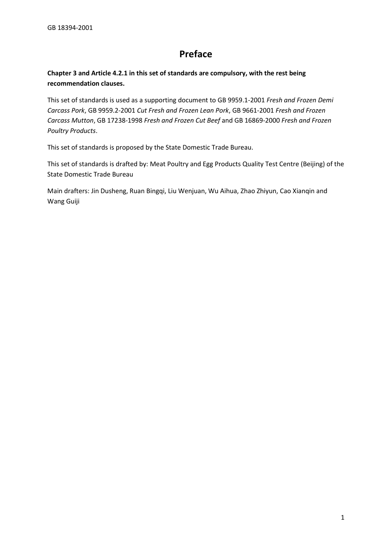# **Preface**

 **Chapter 3 and Article 4.2.1 in this set of standards are compulsory, with the rest being recommendation clauses.** 

This set of standards is used as a supporting document to GB 9959.1-2001 *Fresh and Frozen Demi Carcass Pork*, GB 9959.2-2001 *Cut Fresh and Frozen Lean Pork*, GB 9661-2001 *Fresh and Frozen Carcass Mutton*, GB 17238-1998 *Fresh and Frozen Cut Beef* and GB 16869-2000 *Fresh and Frozen Poultry Products*.

This set of standards is proposed by the State Domestic Trade Bureau.

 This set of standards is drafted by: Meat Poultry and Egg Products Quality Test Centre (Beijing) of the State Domestic Trade Bureau

State Domestic Trade Bureau<br>Main drafters: Jin Dusheng, Ruan Bingqi, Liu Wenjuan, Wu Aihua, Zhao Zhiyun, Cao Xianqin and Wang Guiji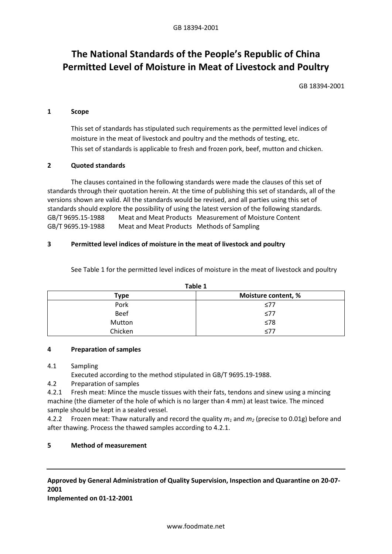# **The National Standards of the People's Republic of China Permitted Level of Moisture in Meat of Livestock and Poultry**

GB 18394-2001

#### **1 Scope**

 moisture in the meat of livestock and poultry and the methods of testing, etc. This set of standards has stipulated such requirements as the permitted level indices of This set of standards is applicable to fresh and frozen pork, beef, mutton and chicken.

### **2 Quoted standards**

 The clauses contained in the following standards were made the clauses of this set of standards should explore the possibility of using the latest version of the following standards. GB/T 9695.15-1988 Meat and Meat Products Measurement of Moisture Content GB/T 9695.19-1988 Meat and Meat Products Methods of Sampling standards through their quotation herein. At the time of publishing this set of standards, all of the versions shown are valid. All the standards would be revised, and all parties using this set of

## **3 Permitted level indices of moisture in the meat of livestock and poultry**

See Table 1 for the permitted level indices of moisture in the meat of livestock and poultry

| .           |                     |
|-------------|---------------------|
| Type        | Moisture content, % |
| Pork        | $\leq 77$           |
| <b>Beef</b> | $\leq 77$           |
| Mutton      | ≤78                 |
| Chicken     | $77$                |

**Table 1** 

#### **4 Preparation of samples**

#### 4.1 Sampling

Executed according to the method stipulated in GB/T 9695.19-1988.

4.2 Preparation of samples

 machine (the diameter of the hole of which is no larger than 4 mm) at least twice. The minced sample should be kept in a sealed vessel. 4.2.1 Fresh meat: Mince the muscle tissues with their fats, tendons and sinew using a mincing

4.2.2 Frozen meat: Thaw naturally and record the quality  $m_1$  and  $m_2$  (precise to 0.01g) before and after thawing. Process the thawed samples according to 4.2.1.

## **5 Method of measurement**

# **Approved by General Administration of Quality Supervision, Inspection and Quarantine on 20-07- 2001**

**Implemented on 01-12-2001**